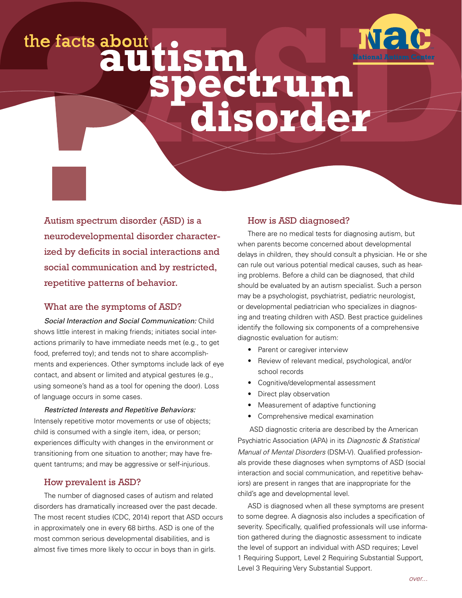

# the facts about<br>autism<br>spectrum<br>disorder

Autism spectrum disorder (ASD) is a neurodevelopmental disorder characterized by deficits in social interactions and social communication and by restricted, repetitive patterns of behavior.

### What are the symptoms of ASD?

*Social Interaction and Social Communication:* Child shows little interest in making friends; initiates social interactions primarily to have immediate needs met (e.g., to get food, preferred toy); and tends not to share accomplishments and experiences. Other symptoms include lack of eye contact, and absent or limited and atypical gestures (e.g., using someone's hand as a tool for opening the door). Loss of language occurs in some cases.

### *Restricted Interests and Repetitive Behaviors:*

Intensely repetitive motor movements or use of objects; child is consumed with a single item, idea, or person; experiences difficulty with changes in the environment or transitioning from one situation to another; may have frequent tantrums; and may be aggressive or self-injurious.

# How prevalent is ASD?

The number of diagnosed cases of autism and related disorders has dramatically increased over the past decade. The most recent studies (CDC, 2014) report that ASD occurs in approximately one in every 68 births. ASD is one of the most common serious developmental disabilities, and is almost five times more likely to occur in boys than in girls.

### How is ASD diagnosed?

There are no medical tests for diagnosing autism, but when parents become concerned about developmental delays in children, they should consult a physician. He or she can rule out various potential medical causes, such as hearing problems. Before a child can be diagnosed, that child should be evaluated by an autism specialist. Such a person may be a psychologist, psychiatrist, pediatric neurologist, or developmental pediatrician who specializes in diagnosing and treating children with ASD. Best practice guidelines identify the following six components of a comprehensive diagnostic evaluation for autism:

- Parent or caregiver interview
- Review of relevant medical, psychological, and/or school records
- Cognitive/developmental assessment
- Direct play observation
- Measurement of adaptive functioning
- Comprehensive medical examination

 ASD diagnostic criteria are described by the American Psychiatric Association (APA) in its *Diagnostic & Statistical Manual of Mental Disorders* (DSM-V). Qualified professionals provide these diagnoses when symptoms of ASD (social interaction and social communication, and repetitive behaviors) are present in ranges that are inappropriate for the child's age and developmental level.

ASD is diagnosed when all these symptoms are present to some degree. A diagnosis also includes a specification of severity. Specifically, qualified professionals will use information gathered during the diagnostic assessment to indicate the level of support an individual with ASD requires; Level 1 Requiring Support, Level 2 Requiring Substantial Support, Level 3 Requiring Very Substantial Support.